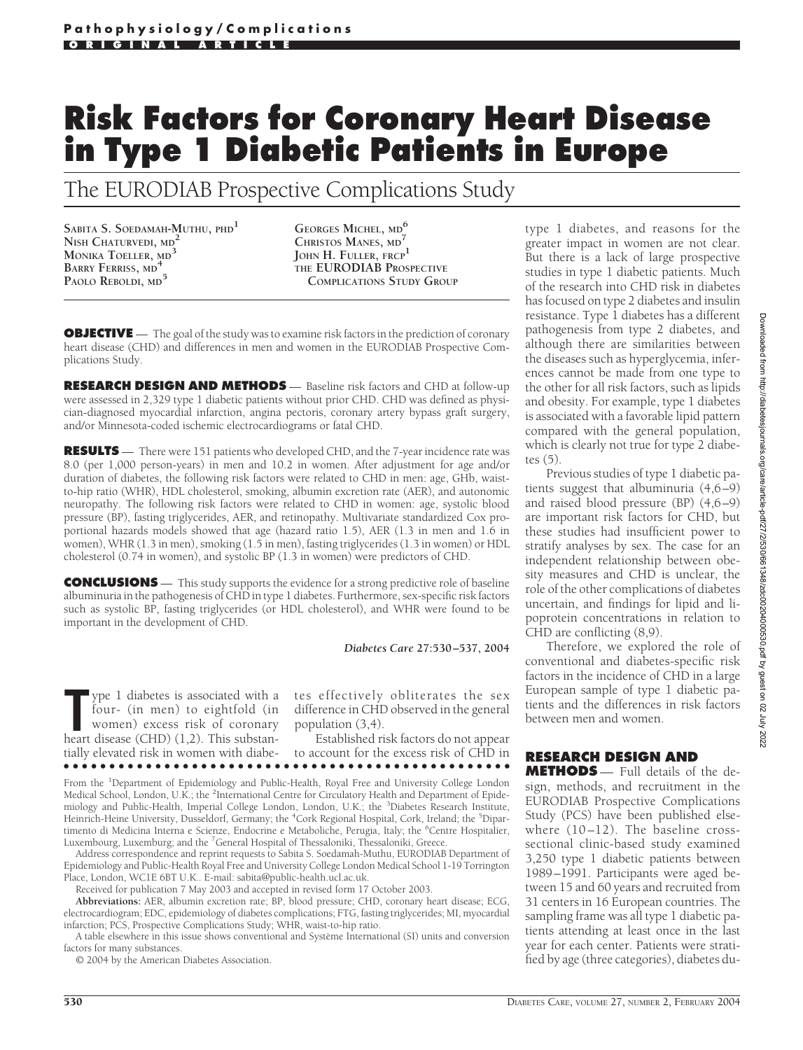# **Risk Factors for Coronary Heart Disease in Type 1 Diabetic Patients in Europe**

The EURODIAB Prospective Complications Study

**SABITA S. SOEDAMAH-MUTHU, PHD<sup>1</sup> NISH CHATURVEDI, MD<sup>2</sup> MONIKA TOELLER, MD<sup>3</sup> BARRY FERRISS, MD<sup>4</sup> PAOLO REBOLDI, MD<sup>5</sup>**

**GEORGES MICHEL, MD<sup>6</sup> CHRISTOS MANES, MD<sup>7</sup> JOHN H. FULLER, FRCP<sup>1</sup> THE EURODIAB PROSPECTIVE COMPLICATIONS STUDY GROUP**

**OBJECTIVE** — The goal of the study was to examine risk factors in the prediction of coronary heart disease (CHD) and differences in men and women in the EURODIAB Prospective Complications Study.

**RESEARCH DESIGN AND METHODS** — Baseline risk factors and CHD at follow-up were assessed in 2,329 type 1 diabetic patients without prior CHD. CHD was defined as physician-diagnosed myocardial infarction, angina pectoris, coronary artery bypass graft surgery, and/or Minnesota-coded ischemic electrocardiograms or fatal CHD.

**RESULTS** — There were 151 patients who developed CHD, and the 7-year incidence rate was 8.0 (per 1,000 person-years) in men and 10.2 in women. After adjustment for age and/or duration of diabetes, the following risk factors were related to CHD in men: age, GHb, waistto-hip ratio (WHR), HDL cholesterol, smoking, albumin excretion rate (AER), and autonomic neuropathy. The following risk factors were related to CHD in women: age, systolic blood pressure (BP), fasting triglycerides, AER, and retinopathy. Multivariate standardized Cox proportional hazards models showed that age (hazard ratio 1.5), AER (1.3 in men and 1.6 in women), WHR (1.3 in men), smoking (1.5 in men), fasting triglycerides (1.3 in women) or HDL cholesterol (0.74 in women), and systolic BP (1.3 in women) were predictors of CHD.

**CONCLUSIONS** — This study supports the evidence for a strong predictive role of baseline albuminuria in the pathogenesis of CHD in type 1 diabetes. Furthermore, sex-specific risk factors such as systolic BP, fasting triglycerides (or HDL cholesterol), and WHR were found to be important in the development of CHD.

*Diabetes Care* **27:530–537, 2004**

The property diabetes is associated with a four- (in men) to eightfold (in women) excess risk of coronary heart disease (CHD) (1,2). This substanype 1 diabetes is associated with a four- (in men) to eightfold (in women) excess risk of coronary tially elevated risk in women with diabetes effectively obliterates the sex difference in CHD observed in the general population (3,4).

Established risk factors do not appear to account for the excess risk of CHD in ●●●●●●●●●●●●●●●●●●●●●●●●●●●●●●●●●●●●●●●●●●●●●●●●●

From the <sup>1</sup>Department of Epidemiology and Public-Health, Royal Free and University College London Medical School, London, U.K.; the <sup>2</sup>International Centre for Circulatory Health and Department of Epidemiology and Public-Health, Imperial College London, London, U.K.; the <sup>3</sup>Diabetes Research Institute, Heinrich-Heine University, Dusseldorf, Germany; the <sup>4</sup>Cork Regional Hospital, Cork, Ireland; the <sup>5</sup>Dipartimento di Medicina Interna e Scienze, Endocrine e Metaboliche, Perugia, Italy; the <sup>6</sup>Centre Hospitalier, Luxembourg, Luxemburg; and the <sup>7</sup>General Hospital of Thessaloniki, Thessaloniki, Greece.

Address correspondence and reprint requests to Sabita S. Soedamah-Muthu, EURODIAB Department of Epidemiology and Public-Health Royal Free and University College London Medical School 1-19 Torrington Place, London, WC1E 6BT U.K.. E-mail: sabita@public-health.ucl.ac.uk.

Received for publication 7 May 2003 and accepted in revised form 17 October 2003.

**Abbreviations:** AER, albumin excretion rate; BP, blood pressure; CHD, coronary heart disease; ECG, electrocardiogram; EDC, epidemiology of diabetes complications; FTG, fasting triglycerides; MI, myocardial infarction; PCS, Prospective Complications Study; WHR, waist-to-hip ratio.

A table elsewhere in this issue shows conventional and Système International (SI) units and conversion factors for many substances.

© 2004 by the American Diabetes Association.

type 1 diabetes, and reasons for the greater impact in women are not clear. But there is a lack of large prospective studies in type 1 diabetic patients. Much of the research into CHD risk in diabetes has focused on type 2 diabetes and insulin resistance. Type 1 diabetes has a different pathogenesis from type 2 diabetes, and although there are similarities between the diseases such as hyperglycemia, inferences cannot be made from one type to the other for all risk factors, such as lipids and obesity. For example, type 1 diabetes is associated with a favorable lipid pattern compared with the general population, which is clearly not true for type 2 diabetes (5).

Previous studies of type 1 diabetic patients suggest that albuminuria (4,6–9) and raised blood pressure (BP) (4,6–9) are important risk factors for CHD, but these studies had insufficient power to stratify analyses by sex. The case for an independent relationship between obesity measures and CHD is unclear, the role of the other complications of diabetes uncertain, and findings for lipid and lipoprotein concentrations in relation to CHD are conflicting (8,9).

Therefore, we explored the role of conventional and diabetes-specific risk factors in the incidence of CHD in a large European sample of type 1 diabetic patients and the differences in risk factors between men and women.

# **RESEARCH DESIGN AND**

**METHODS** — Full details of the design, methods, and recruitment in the EURODIAB Prospective Complications Study (PCS) have been published elsewhere (10–12). The baseline crosssectional clinic-based study examined 3,250 type 1 diabetic patients between 1989–1991. Participants were aged between 15 and 60 years and recruited from 31 centers in 16 European countries. The sampling frame was all type 1 diabetic patients attending at least once in the last year for each center. Patients were stratified by age (three categories), diabetes du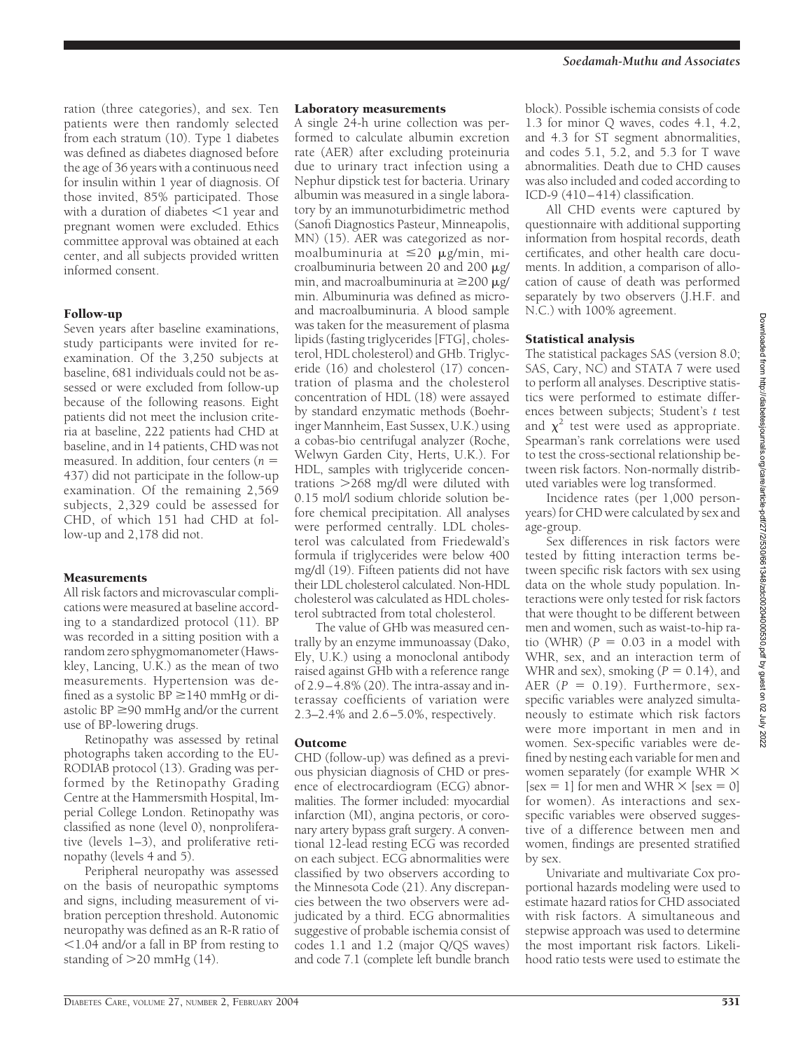ration (three categories), and sex. Ten patients were then randomly selected from each stratum (10). Type 1 diabetes was defined as diabetes diagnosed before the age of 36 years with a continuous need for insulin within 1 year of diagnosis. Of those invited, 85% participated. Those with a duration of diabetes  $\leq$ 1 year and pregnant women were excluded. Ethics committee approval was obtained at each center, and all subjects provided written informed consent.

## Follow-up

Seven years after baseline examinations, study participants were invited for reexamination. Of the 3,250 subjects at baseline, 681 individuals could not be assessed or were excluded from follow-up because of the following reasons. Eight patients did not meet the inclusion criteria at baseline, 222 patients had CHD at baseline, and in 14 patients, CHD was not measured. In addition, four centers  $(n =$ 437) did not participate in the follow-up examination. Of the remaining 2,569 subjects, 2,329 could be assessed for CHD, of which 151 had CHD at follow-up and 2,178 did not.

# **Measurements**

All risk factors and microvascular complications were measured at baseline according to a standardized protocol (11). BP was recorded in a sitting position with a random zero sphygmomanometer (Hawskley, Lancing, U.K.) as the mean of two measurements. Hypertension was defined as a systolic  $BP \geq 140$  mmHg or diastolic  $BP \geq 90$  mmHg and/or the current use of BP-lowering drugs.

Retinopathy was assessed by retinal photographs taken according to the EU-RODIAB protocol (13). Grading was performed by the Retinopathy Grading Centre at the Hammersmith Hospital, Imperial College London. Retinopathy was classified as none (level 0), nonproliferative (levels 1–3), and proliferative retinopathy (levels 4 and 5).

Peripheral neuropathy was assessed on the basis of neuropathic symptoms and signs, including measurement of vibration perception threshold. Autonomic neuropathy was defined as an R-R ratio of 1.04 and/or a fall in BP from resting to standing of  $>$ 20 mmHg (14).

## Laboratory measurements

A single 24-h urine collection was performed to calculate albumin excretion rate (AER) after excluding proteinuria due to urinary tract infection using a Nephur dipstick test for bacteria. Urinary albumin was measured in a single laboratory by an immunoturbidimetric method (Sanofi Diagnostics Pasteur, Minneapolis, MN) (15). AER was categorized as normoalbuminuria at ≤20 µg/min, microalbuminuria between 20 and 200  $\mu$ g/ min, and macroalbuminuria at  $\geq$ 200  $\mu$ g/ min. Albuminuria was defined as microand macroalbuminuria. A blood sample was taken for the measurement of plasma lipids (fasting triglycerides [FTG], cholesterol, HDL cholesterol) and GHb. Triglyceride (16) and cholesterol (17) concentration of plasma and the cholesterol concentration of HDL (18) were assayed by standard enzymatic methods (Boehringer Mannheim, East Sussex, U.K.) using a cobas-bio centrifugal analyzer (Roche, Welwyn Garden City, Herts, U.K.). For HDL, samples with triglyceride concentrations 268 mg/dl were diluted with 0.15 mol/l sodium chloride solution before chemical precipitation. All analyses were performed centrally. LDL cholesterol was calculated from Friedewald's formula if triglycerides were below 400 mg/dl (19). Fifteen patients did not have their LDL cholesterol calculated. Non-HDL cholesterol was calculated as HDL cholesterol subtracted from total cholesterol.

The value of GHb was measured centrally by an enzyme immunoassay (Dako, Ely, U.K.) using a monoclonal antibody raised against GHb with a reference range of 2.9–4.8% (20). The intra-assay and interassay coefficients of variation were 2.3–2.4% and 2.6–5.0%, respectively.

# Outcome

CHD (follow-up) was defined as a previous physician diagnosis of CHD or presence of electrocardiogram (ECG) abnormalities. The former included: myocardial infarction (MI), angina pectoris, or coronary artery bypass graft surgery. A conventional 12-lead resting ECG was recorded on each subject. ECG abnormalities were classified by two observers according to the Minnesota Code (21). Any discrepancies between the two observers were adjudicated by a third. ECG abnormalities suggestive of probable ischemia consist of codes 1.1 and 1.2 (major Q/QS waves) and code 7.1 (complete left bundle branch

block). Possible ischemia consists of code 1.3 for minor Q waves, codes 4.1, 4.2, and 4.3 for ST segment abnormalities, and codes 5.1, 5.2, and 5.3 for T wave abnormalities. Death due to CHD causes was also included and coded according to ICD-9 (410–414) classification.

All CHD events were captured by questionnaire with additional supporting information from hospital records, death certificates, and other health care documents. In addition, a comparison of allocation of cause of death was performed separately by two observers (J.H.F. and N.C.) with 100% agreement.

## Statistical analysis

The statistical packages SAS (version 8.0; SAS, Cary, NC) and STATA 7 were used to perform all analyses. Descriptive statistics were performed to estimate differences between subjects; Student's *t* test and  $\chi^2$  test were used as appropriate. Spearman's rank correlations were used to test the cross-sectional relationship between risk factors. Non-normally distributed variables were log transformed.

Incidence rates (per 1,000 personyears) for CHD were calculated by sex and age-group.

Sex differences in risk factors were tested by fitting interaction terms between specific risk factors with sex using data on the whole study population. Interactions were only tested for risk factors that were thought to be different between men and women, such as waist-to-hip ratio (WHR)  $(P = 0.03$  in a model with WHR, sex, and an interaction term of WHR and sex), smoking  $(P = 0.14)$ , and  $AER (P = 0.19)$ . Furthermore, sexspecific variables were analyzed simultaneously to estimate which risk factors were more important in men and in women. Sex-specific variables were defined by nesting each variable for men and women separately (for example WHR  $[sex = 1]$  for men and WHR  $\times$   $[sex = 0]$ for women). As interactions and sexspecific variables were observed suggestive of a difference between men and women, findings are presented stratified by sex.

Univariate and multivariate Cox proportional hazards modeling were used to estimate hazard ratios for CHD associated with risk factors. A simultaneous and stepwise approach was used to determine the most important risk factors. Likelihood ratio tests were used to estimate the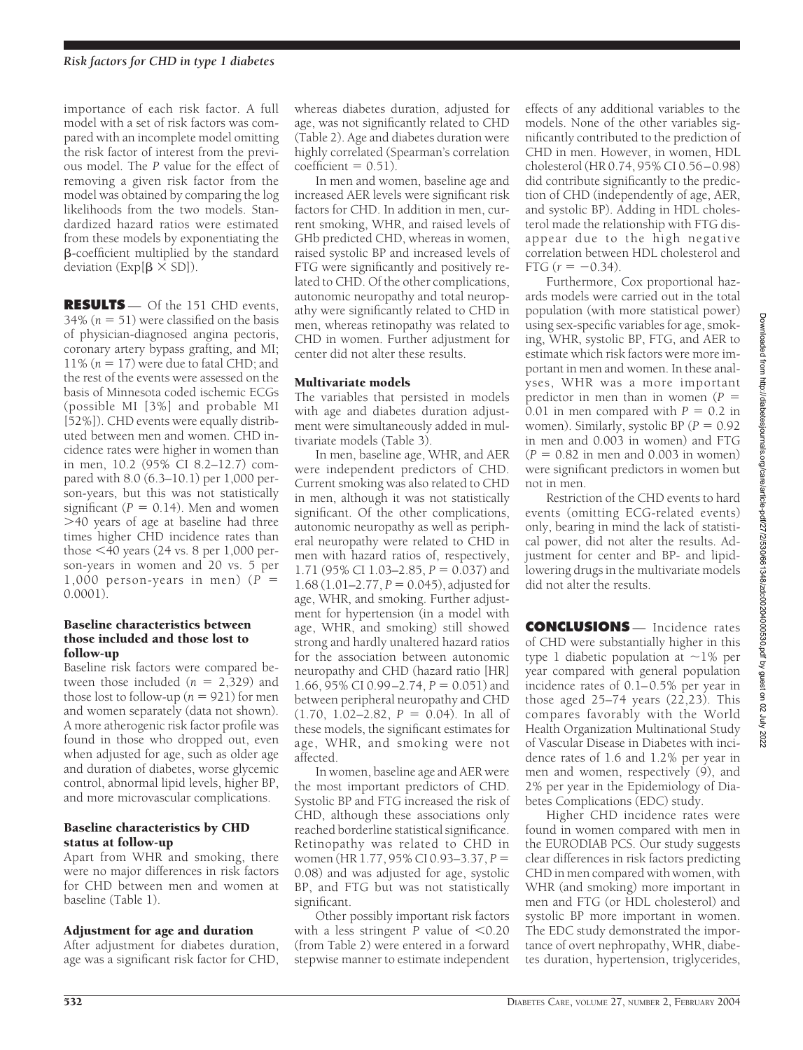importance of each risk factor. A full model with a set of risk factors was compared with an incomplete model omitting the risk factor of interest from the previous model. The *P* value for the effect of removing a given risk factor from the model was obtained by comparing the log likelihoods from the two models. Standardized hazard ratios were estimated from these models by exponentiating the -coefficient multiplied by the standard deviation ( $Exp[\beta \times SD]$ ).

**RESULTS** — Of the 151 CHD events,  $34\%$  ( $n = 51$ ) were classified on the basis of physician-diagnosed angina pectoris, coronary artery bypass grafting, and MI;  $11\%$  ( $n = 17$ ) were due to fatal CHD; and the rest of the events were assessed on the basis of Minnesota coded ischemic ECGs (possible MI [3%] and probable MI [52%]). CHD events were equally distributed between men and women. CHD incidence rates were higher in women than in men, 10.2 (95% CI 8.2–12.7) compared with 8.0 (6.3–10.1) per 1,000 person-years, but this was not statistically significant ( $P = 0.14$ ). Men and women 40 years of age at baseline had three times higher CHD incidence rates than those  $\leq$ 40 years (24 vs. 8 per 1,000 person-years in women and 20 vs. 5 per 1,000 person-years in men)  $(P =$ 0.0001).

#### Baseline characteristics between those included and those lost to follow-up

Baseline risk factors were compared between those included  $(n = 2,329)$  and those lost to follow-up ( $n = 921$ ) for men and women separately (data not shown). A more atherogenic risk factor profile was found in those who dropped out, even when adjusted for age, such as older age and duration of diabetes, worse glycemic control, abnormal lipid levels, higher BP, and more microvascular complications.

#### Baseline characteristics by CHD status at follow-up

Apart from WHR and smoking, there were no major differences in risk factors for CHD between men and women at baseline (Table 1).

### Adjustment for age and duration

After adjustment for diabetes duration, age was a significant risk factor for CHD, whereas diabetes duration, adjusted for age, was not significantly related to CHD (Table 2). Age and diabetes duration were highly correlated (Spearman's correlation  $coefficient = 0.51$ ).

In men and women, baseline age and increased AER levels were significant risk factors for CHD. In addition in men, current smoking, WHR, and raised levels of GHb predicted CHD, whereas in women, raised systolic BP and increased levels of FTG were significantly and positively related to CHD. Of the other complications, autonomic neuropathy and total neuropathy were significantly related to CHD in men, whereas retinopathy was related to CHD in women. Further adjustment for center did not alter these results.

## Multivariate models

The variables that persisted in models with age and diabetes duration adjustment were simultaneously added in multivariate models (Table 3).

In men, baseline age, WHR, and AER were independent predictors of CHD. Current smoking was also related to CHD in men, although it was not statistically significant. Of the other complications, autonomic neuropathy as well as peripheral neuropathy were related to CHD in men with hazard ratios of, respectively,  $1.71$  (95% CI 1.03–2.85,  $P = 0.037$ ) and  $1.68(1.01-2.77, P = 0.045)$ , adjusted for age, WHR, and smoking. Further adjustment for hypertension (in a model with age, WHR, and smoking) still showed strong and hardly unaltered hazard ratios for the association between autonomic neuropathy and CHD (hazard ratio [HR] 1.66, 95% CI 0.99 $-2.74$ ,  $P = 0.051$ ) and between peripheral neuropathy and CHD  $(1.70, 1.02 - 2.82, P = 0.04)$ . In all of these models, the significant estimates for age, WHR, and smoking were not affected.

In women, baseline age and AER were the most important predictors of CHD. Systolic BP and FTG increased the risk of CHD, although these associations only reached borderline statistical significance. Retinopathy was related to CHD in women (HR 1.77, 95% CI 0.93–3.37, *P* - 0.08) and was adjusted for age, systolic BP, and FTG but was not statistically significant.

Other possibly important risk factors with a less stringent  $P$  value of  $\leq 0.20$ (from Table 2) were entered in a forward stepwise manner to estimate independent

effects of any additional variables to the models. None of the other variables significantly contributed to the prediction of CHD in men. However, in women, HDL cholesterol (HR 0.74, 95% CI 0.56–0.98) did contribute significantly to the prediction of CHD (independently of age, AER, and systolic BP). Adding in HDL cholesterol made the relationship with FTG disappear due to the high negative correlation between HDL cholesterol and FTG  $(r = -0.34)$ .

Furthermore, Cox proportional hazards models were carried out in the total population (with more statistical power) using sex-specific variables for age, smoking, WHR, systolic BP, FTG, and AER to estimate which risk factors were more important in men and women. In these analyses, WHR was a more important predictor in men than in women  $(P =$ 0.01 in men compared with  $P = 0.2$  in women). Similarly, systolic BP ( $P = 0.92$ in men and 0.003 in women) and FTG  $(P = 0.82$  in men and 0.003 in women) were significant predictors in women but not in men.

Restriction of the CHD events to hard events (omitting ECG-related events) only, bearing in mind the lack of statistical power, did not alter the results. Adjustment for center and BP- and lipidlowering drugs in the multivariate models did not alter the results.

**CONCLUSIONS** — Incidence rates of CHD were substantially higher in this type 1 diabetic population at  $\sim$ 1% per year compared with general population incidence rates of 0.1–0.5% per year in those aged 25–74 years (22,23). This compares favorably with the World Health Organization Multinational Study of Vascular Disease in Diabetes with incidence rates of 1.6 and 1.2% per year in men and women, respectively (9), and 2% per year in the Epidemiology of Diabetes Complications (EDC) study.

Higher CHD incidence rates were found in women compared with men in the EURODIAB PCS. Our study suggests clear differences in risk factors predicting CHD in men compared with women, with WHR (and smoking) more important in men and FTG (or HDL cholesterol) and systolic BP more important in women. The EDC study demonstrated the importance of overt nephropathy, WHR, diabetes duration, hypertension, triglycerides,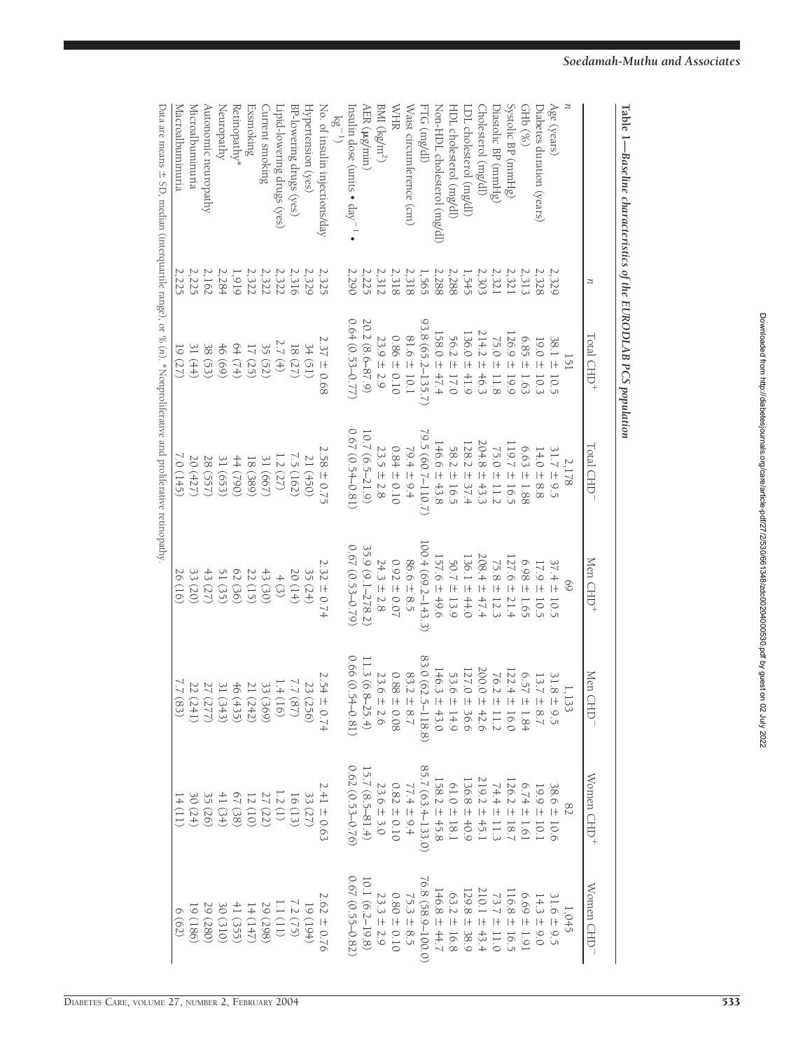| Men CHD <sup>-</sup>                                     | Women CHD <sup>+</sup>  | Women CHD <sup>-</sup> |
|----------------------------------------------------------|-------------------------|------------------------|
| 1,133                                                    |                         | .045                   |
| $31.8 \pm 9.5$                                           | $38.6 \pm 10.6$         | $31.6 \pm 9.5$         |
| 13.<br>$7.8 \pm 7$                                       | $19.9 \pm 10.1$         | $14.3 \pm 9.0$         |
| 6.5<br>$7 \pm 1.84$                                      | $6.74 \pm 1.6$          | $6.69 \pm 1.9$         |
| 122.<br>$4 \pm 16.0$                                     | $126.2 \pm 18.$         | $116.8 \pm 16.$        |
| 76.<br>11.2                                              | $74.4 \pm 11.$          | $73.7 \pm 11.0$        |
| 200.0                                                    | $219.2 \pm 45.$         | $210.1 \pm 43.$        |
| 127.0<br>$= 36.6$                                        | $136.8 \pm 40.9$        | $129.8 \pm 38.9$       |
| $53.6 \pm$<br>14.9                                       | $61.0 \pm 18.1$         | $63.2 \pm 16.8$        |
| 146.<br>$3 \pm 43.0$                                     | $158.2 \pm 45.8$        | $146.8 \pm 44.7$       |
| 83.0 (62.5-118.8)                                        | $85.7(63.4 - 133.0)$    | 76.8 (58.9–100.0)      |
| $83.2 \pm 8.7$                                           | $77.4 \pm 9.4$          | $75.3 \pm 8.5$         |
| $0.88 \pm 0.08$                                          | $0.82 \pm 0.10$         | $0.80 \pm 0.10$        |
| $23.6 \pm 2.6$                                           | $23.6 \pm 3.0$          | $23.3 \pm 2.9$         |
| $11.3 (6.8 - 25.4)$                                      | $15.7(8.5 - 81.4)$      | $10.1 (6.2 - 19.8)$    |
| $0.66(0.54 - 0.81)$                                      | $0.62(0.53 - 0.76)$     | $0.67(0.55 - 0.82)$    |
|                                                          |                         |                        |
| $2.54 \pm 0.74$                                          | $2.41 \pm 0.63$         | $2.62 \pm 0.76$        |
|                                                          | 33 (27)                 | 19(194)                |
|                                                          | 16(13)                  | (52)                   |
| 23 (256)<br>7.7 (87)<br>1.4 (16)                         | 1.2(1)                  | (11)                   |
| 33 (369)                                                 | 27 (22)                 | 29 (298)               |
|                                                          | $\overline{12}$<br>(01) | 14(147)                |
|                                                          | 2 <sub>0</sub><br>(38)  | (355)                  |
|                                                          | (34)                    | 30 (310)               |
|                                                          | (56)                    | 29 (280)               |
| 21 (242)<br>46 (435)<br>31 (343)<br>22 (241)<br>22 (241) | 30 (24)                 | 19(186)                |
| (63)                                                     | 14(11)                  | (62)                   |
|                                                          |                         |                        |
|                                                          |                         |                        |

SD,(interquartile range),or $\widehat{\phantom{m}}$ ).\*Nonproliferativeproliferative

## DIABETES CARE, VOLUME 27, NUMBER 2, FEBRUARY 2004 533

**Table 1**

*Baseline*

 *characteristics*

 *of the*

 *EURODLAB*

 $PCS$ 

 *population*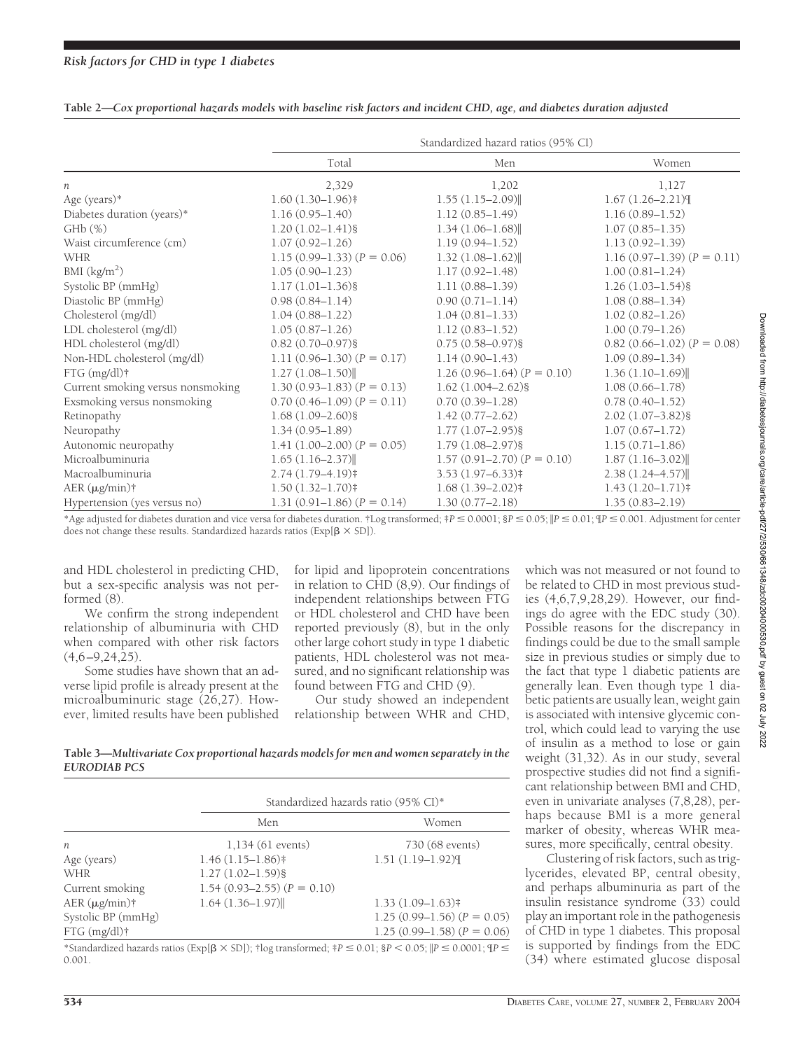|                                   | Standardized hazard ratios (95% CI) |                                 |                                   |
|-----------------------------------|-------------------------------------|---------------------------------|-----------------------------------|
|                                   | Total                               | Men                             | Women                             |
| n                                 | 2,329                               | 1,202                           | 1,127                             |
| Age (years)*                      | $1.60(1.30-1.96)$                   | $1.55(1.15-2.09)$               | $1.67(1.26 - 2.21)$               |
| Diabetes duration (years)*        | $1.16(0.95 - 1.40)$                 | $1.12(0.85 - 1.49)$             | $1.16(0.89 - 1.52)$               |
| $GHb$ $(\%)$                      | $1.20(1.02 - 1.41)$ §               | $1.34(1.06 - 1.68)$             | $1.07(0.85 - 1.35)$               |
| Waist circumference (cm)          | $1.07(0.92 - 1.26)$                 | $1.19(0.94 - 1.52)$             | $1.13(0.92 - 1.39)$               |
| <b>WHR</b>                        | 1.15 $(0.99-1.33)$ $(P = 0.06)$     | $1.32(1.08 - 1.62)$             | 1.16 $(0.97-1.39)$ $(P = 0.11)$   |
| BMI $(kg/m2)$                     | $1.05(0.90 - 1.23)$                 | $1.17(0.92 - 1.48)$             | $1.00(0.81 - 1.24)$               |
| Systolic BP (mmHg)                | $1.17(1.01-1.36)$ §                 | $1.11(0.88 - 1.39)$             | $1.26(1.03 - 1.54)$ §             |
| Diastolic BP (mmHg)               | $0.98(0.84 - 1.14)$                 | $0.90(0.71 - 1.14)$             | $1.08(0.88 - 1.34)$               |
| Cholesterol (mg/dl)               | $1.04(0.88 - 1.22)$                 | $1.04(0.81 - 1.33)$             | $1.02(0.82 - 1.26)$               |
| LDL cholesterol (mg/dl)           | $1.05(0.87-1.26)$                   | $1.12(0.83 - 1.52)$             | $1.00(0.79 - 1.26)$               |
| HDL cholesterol (mg/dl)           | $0.82(0.70 - 0.97)$ §               | $0.75(0.58 - 0.97)$ §           | $0.82$ (0.66–1.02) ( $P = 0.08$ ) |
| Non-HDL cholesterol (mg/dl)       | 1.11 $(0.96-1.30)$ $(P = 0.17)$     | $1.14(0.90 - 1.43)$             | $1.09(0.89 - 1.34)$               |
| FTG (mg/dl)†                      | $1.27(1.08-1.50)$                   | 1.26 $(0.96-1.64)$ $(P = 0.10)$ | $1.36(1.10-1.69)$                 |
| Current smoking versus nonsmoking | $1.30(0.93-1.83)(P = 0.13)$         | $1.62(1.004 - 2.62)$ §          | $1.08(0.66 - 1.78)$               |
| Exsmoking versus nonsmoking       | $0.70(0.46-1.09)(P = 0.11)$         | $0.70(0.39 - 1.28)$             | $0.78(0.40 - 1.52)$               |
| Retinopathy                       | $1.68(1.09-2.60)$ §                 | $1.42(0.77-2.62)$               | $2.02(1.07 - 3.82)$ §             |
| Neuropathy                        | $1.34(0.95 - 1.89)$                 | $1.77(1.07-2.95)$ §             | $1.07(0.67 - 1.72)$               |
| Autonomic neuropathy              | 1.41 $(1.00-2.00)$ $(P = 0.05)$     | $1.79(1.08-2.97)$ §             | $1.15(0.71 - 1.86)$               |
| Microalbuminuria                  | $1.65(1.16-2.37)$                   | $1.57(0.91-2.70)(P = 0.10)$     | $1.87(1.16 - 3.02)$               |
| Macroalbuminuria                  | $2.74(1.79-4.19)$                   | $3.53(1.97-6.33)*$              | $2.38(1.24 - 4.57)$               |
| $AER (\mu g/min)$ †               | $1.50(1.32 - 1.70)$                 | $1.68(1.39 - 2.02)$             | $1.43(1.20 - 1.71)$               |
| Hypertension (yes versus no)      | 1.31 $(0.91-1.86)$ $(P = 0.14)$     | $1.30(0.77 - 2.18)$             | $1.35(0.83 - 2.19)$               |

#### **Table 2—***Cox proportional hazards models with baseline risk factors and incident CHD, age, and diabetes duration adjusted*

\*Age adjusted for diabetes duration and vice versa for diabetes duration. †Log transformed; ‡*P* ≤ 0.0001; §*P* ≤ 0.05;  $\|$ *P* ≤ 0.01;  $\{P$  ≤ 0.001. Adjustment for center does not change these results. Standardized hazards ratios ( $Exp[\beta \times SD]$ ).

and HDL cholesterol in predicting CHD, but a sex-specific analysis was not performed (8).

We confirm the strong independent relationship of albuminuria with CHD when compared with other risk factors  $(4,6-9,24,25)$ .

Some studies have shown that an adverse lipid profile is already present at the microalbuminuric stage (26,27). However, limited results have been published for lipid and lipoprotein concentrations in relation to CHD (8,9). Our findings of independent relationships between FTG or HDL cholesterol and CHD have been reported previously (8), but in the only other large cohort study in type 1 diabetic patients, HDL cholesterol was not measured, and no significant relationship was found between FTG and CHD (9).

Our study showed an independent relationship between WHR and CHD, which was not measured or not found to be related to CHD in most previous studies (4,6,7,9,28,29). However, our findings do agree with the EDC study (30). Possible reasons for the discrepancy in findings could be due to the small sample size in previous studies or simply due to the fact that type 1 diabetic patients are generally lean. Even though type 1 diabetic patients are usually lean, weight gain is associated with intensive glycemic control, which could lead to varying the use of insulin as a method to lose or gain weight (31,32). As in our study, several prospective studies did not find a significant relationship between BMI and CHD, even in univariate analyses (7,8,28), perhaps because BMI is a more general marker of obesity, whereas WHR measures, more specifically, central obesity.

Clustering of risk factors, such as triglycerides, elevated BP, central obesity, and perhaps albuminuria as part of the insulin resistance syndrome (33) could play an important role in the pathogenesis of CHD in type 1 diabetes. This proposal is supported by findings from the EDC (34) where estimated glucose disposal

**Table 3—***Multivariate Cox proportional hazards models for men and women separately in the EURODIAB PCS*

|                         | Standardized hazards ratio (95% CI)*                                                                                                            |                           |  |
|-------------------------|-------------------------------------------------------------------------------------------------------------------------------------------------|---------------------------|--|
|                         | Men                                                                                                                                             | Women                     |  |
| n                       | $1,134$ (61 events)                                                                                                                             | 730 (68 events)           |  |
| Age (years)             | $1.46(1.15 - 1.86)$                                                                                                                             | $1.51(1.19-1.92)$         |  |
| <b>WHR</b>              | $1.27(1.02 - 1.59)$ §                                                                                                                           |                           |  |
| Current smoking         | $1.54(0.93-2.55)(P = 0.10)$                                                                                                                     |                           |  |
| $AER (\mu g/min)$ †     | $1.64(1.36-1.97)$                                                                                                                               | $1.33(1.09-1.63)$         |  |
| Systolic BP (mmHg)      |                                                                                                                                                 | $1.25(0.99-1.56)(P=0.05)$ |  |
| $FTG$ (mg/dl) $\dagger$ |                                                                                                                                                 | $1.25(0.99-1.58)(P=0.06)$ |  |
|                         | *Standardized bazards ratios (Eval $R \times S$ D) + $\log$ transformed: $\pm R \leq 0.01 \cdot SD \leq 0.05$ $\ln R \leq 0.0001$ $\leq D \leq$ |                           |  |

\*Standardized hazards ratios (Exp[ $\beta \times$  SD]); †log transformed; ‡*P*  $\le$  $\leq 0.01$ ; §*P*  $\leq 0.05$ ;  $\|$  $P \leq$  $\leq 0.0001; \P P \leq$ 0.001.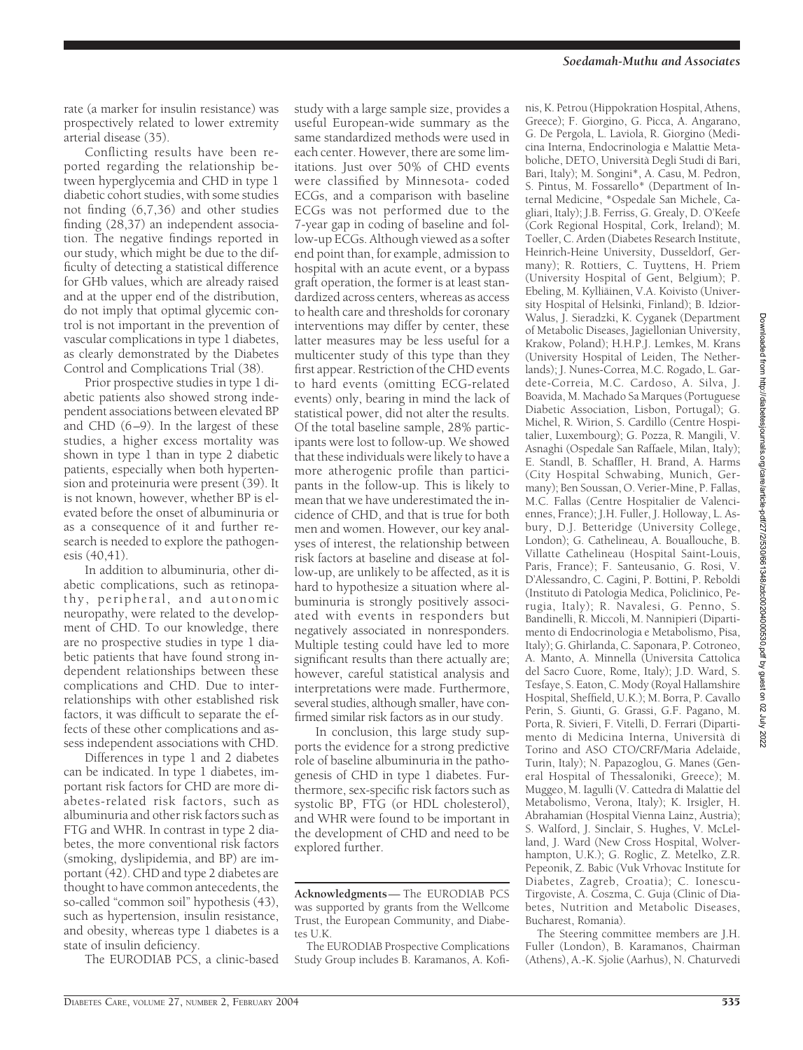rate (a marker for insulin resistance) was prospectively related to lower extremity arterial disease (35).

Conflicting results have been reported regarding the relationship between hyperglycemia and CHD in type 1 diabetic cohort studies, with some studies not finding (6,7,36) and other studies finding (28,37) an independent association. The negative findings reported in our study, which might be due to the difficulty of detecting a statistical difference for GHb values, which are already raised and at the upper end of the distribution, do not imply that optimal glycemic control is not important in the prevention of vascular complications in type 1 diabetes, as clearly demonstrated by the Diabetes Control and Complications Trial (38).

Prior prospective studies in type 1 diabetic patients also showed strong independent associations between elevated BP and CHD (6–9). In the largest of these studies, a higher excess mortality was shown in type 1 than in type 2 diabetic patients, especially when both hypertension and proteinuria were present (39). It is not known, however, whether BP is elevated before the onset of albuminuria or as a consequence of it and further research is needed to explore the pathogenesis (40,41).

In addition to albuminuria, other diabetic complications, such as retinopathy, peripheral, and autonomic neuropathy, were related to the development of CHD. To our knowledge, there are no prospective studies in type 1 diabetic patients that have found strong independent relationships between these complications and CHD. Due to interrelationships with other established risk factors, it was difficult to separate the effects of these other complications and assess independent associations with CHD.

Differences in type 1 and 2 diabetes can be indicated. In type 1 diabetes, important risk factors for CHD are more diabetes-related risk factors, such as albuminuria and other risk factors such as FTG and WHR. In contrast in type 2 diabetes, the more conventional risk factors (smoking, dyslipidemia, and BP) are important (42). CHD and type 2 diabetes are thought to have common antecedents, the so-called "common soil" hypothesis (43), such as hypertension, insulin resistance, and obesity, whereas type 1 diabetes is a state of insulin deficiency.

The EURODIAB PCS, a clinic-based

study with a large sample size, provides a useful European-wide summary as the same standardized methods were used in each center. However, there are some limitations. Just over 50% of CHD events were classified by Minnesota- coded ECGs, and a comparison with baseline ECGs was not performed due to the 7-year gap in coding of baseline and follow-up ECGs. Although viewed as a softer end point than, for example, admission to hospital with an acute event, or a bypass graft operation, the former is at least standardized across centers, whereas as access to health care and thresholds for coronary interventions may differ by center, these latter measures may be less useful for a multicenter study of this type than they first appear. Restriction of the CHD events to hard events (omitting ECG-related events) only, bearing in mind the lack of statistical power, did not alter the results. Of the total baseline sample, 28% participants were lost to follow-up. We showed that these individuals were likely to have a more atherogenic profile than participants in the follow-up. This is likely to mean that we have underestimated the incidence of CHD, and that is true for both men and women. However, our key analyses of interest, the relationship between risk factors at baseline and disease at follow-up, are unlikely to be affected, as it is hard to hypothesize a situation where albuminuria is strongly positively associated with events in responders but negatively associated in nonresponders. Multiple testing could have led to more significant results than there actually are; however, careful statistical analysis and interpretations were made. Furthermore, several studies, although smaller, have confirmed similar risk factors as in our study.

In conclusion, this large study supports the evidence for a strong predictive role of baseline albuminuria in the pathogenesis of CHD in type 1 diabetes. Furthermore, sex-specific risk factors such as systolic BP, FTG (or HDL cholesterol), and WHR were found to be important in the development of CHD and need to be explored further.

The EURODIAB Prospective Complications Study Group includes B. Karamanos, A. Kofinis, K. Petrou (Hippokration Hospital, Athens, Greece); F. Giorgino, G. Picca, A. Angarano, G. De Pergola, L. Laviola, R. Giorgino (Medicina Interna, Endocrinologia e Malattie Metaboliche, DETO, Universita` Degli Studi di Bari, Bari, Italy); M. Songini\*, A. Casu, M. Pedron, S. Pintus, M. Fossarello\* (Department of Internal Medicine, \*Ospedale San Michele, Cagliari, Italy); J.B. Ferriss, G. Grealy, D. O'Keefe (Cork Regional Hospital, Cork, Ireland); M. Toeller, C. Arden (Diabetes Research Institute, Heinrich-Heine University, Dusseldorf, Germany); R. Rottiers, C. Tuyttens, H. Priem (University Hospital of Gent, Belgium); P. Ebeling, M. Kylliäinen, V.A. Koivisto (University Hospital of Helsinki, Finland); B. Idzior-Walus, J. Sieradzki, K. Cyganek (Department of Metabolic Diseases, Jagiellonian University, Krakow, Poland); H.H.P.J. Lemkes, M. Krans (University Hospital of Leiden, The Netherlands); J. Nunes-Correa, M.C. Rogado, L. Gardete-Correia, M.C. Cardoso, A. Silva, J. Boavida, M. Machado Sa Marques (Portuguese Diabetic Association, Lisbon, Portugal); G. Michel, R. Wirion, S. Cardillo (Centre Hospitalier, Luxembourg); G. Pozza, R. Mangili, V. Asnaghi (Ospedale San Raffaele, Milan, Italy); E. Standl, B. Schaffler, H. Brand, A. Harms (City Hospital Schwabing, Munich, Germany); Ben Soussan, O. Verier-Mine, P. Fallas, M.C. Fallas (Centre Hospitalier de Valenciennes, France); J.H. Fuller, J. Holloway, L. Asbury, D.J. Betteridge (University College, London); G. Cathelineau, A. Bouallouche, B. Villatte Cathelineau (Hospital Saint-Louis, Paris, France); F. Santeusanio, G. Rosi, V. D'Alessandro, C. Cagini, P. Bottini, P. Reboldi (Instituto di Patologia Medica, Policlinico, Perugia, Italy); R. Navalesi, G. Penno, S. Bandinelli, R. Miccoli, M. Nannipieri (Dipartimento di Endocrinologia e Metabolismo, Pisa, Italy); G. Ghirlanda, C. Saponara, P. Cotroneo, A. Manto, A. Minnella (Universita Cattolica del Sacro Cuore, Rome, Italy); J.D. Ward, S. Tesfaye, S. Eaton, C. Mody (Royal Hallamshire Hospital, Sheffield, U.K.); M. Borra, P. Cavallo Perin, S. Giunti, G. Grassi, G.F. Pagano, M. Porta, R. Sivieri, F. Vitelli, D. Ferrari (Dipartimento di Medicina Interna, Universita` di Torino and ASO CTO/CRF/Maria Adelaide, Turin, Italy); N. Papazoglou, G. Manes (General Hospital of Thessaloniki, Greece); M. Muggeo, M. Iagulli (V. Cattedra di Malattie del Metabolismo, Verona, Italy); K. Irsigler, H. Abrahamian (Hospital Vienna Lainz, Austria); S. Walford, J. Sinclair, S. Hughes, V. McLelland, J. Ward (New Cross Hospital, Wolverhampton, U.K.); G. Roglic, Z. Metelko, Z.R. Pepeonik, Z. Babic (Vuk Vrhovac Institute for Diabetes, Zagreb, Croatia); C. Ionescu-Tirgoviste, A. Coszma, C. Guja (Clinic of Diabetes, Nutrition and Metabolic Diseases, Bucharest, Romania).

The Steering committee members are J.H. Fuller (London), B. Karamanos, Chairman (Athens), A.-K. Sjolie (Aarhus), N. Chaturvedi

**Acknowledgments**— The EURODIAB PCS was supported by grants from the Wellcome Trust, the European Community, and Diabetes U.K.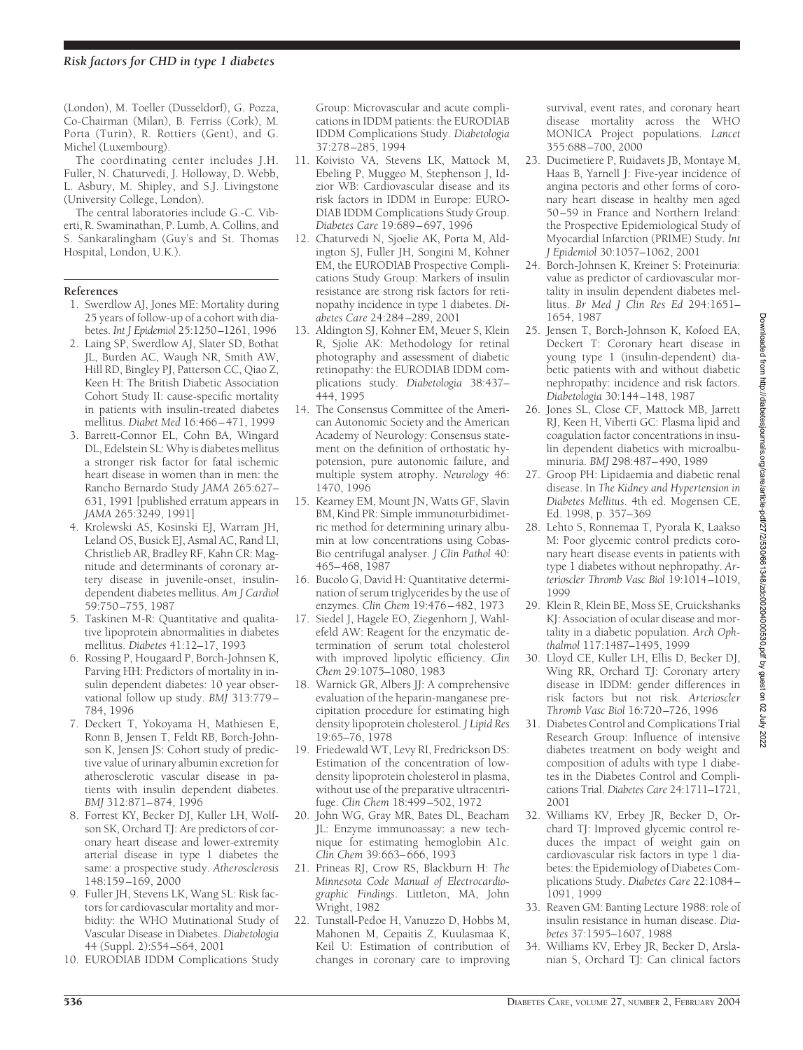(London), M. Toeller (Dusseldorf), G. Pozza, Co-Chairman (Milan), B. Ferriss (Cork), M. Porta (Turin), R. Rottiers (Gent), and G. Michel (Luxembourg).

The coordinating center includes J.H. Fuller, N. Chaturvedi, J. Holloway, D. Webb, L. Asbury, M. Shipley, and S.J. Livingstone (University College, London).

The central laboratories include G.-C. Viberti, R. Swaminathan, P. Lumb, A. Collins, and S. Sankaralingham (Guy's and St. Thomas Hospital, London, U.K.).

#### **References**

- 1. Swerdlow AJ, Jones ME: Mortality during 25 years of follow-up of a cohort with diabetes. *Int J Epidemiol* 25:1250–1261, 1996
- 2. Laing SP, Swerdlow AJ, Slater SD, Bothat JL, Burden AC, Waugh NR, Smith AW, Hill RD, Bingley PJ, Patterson CC, Qiao Z, Keen H: The British Diabetic Association Cohort Study II: cause-specific mortality in patients with insulin-treated diabetes mellitus. *Diabet Med* 16:466–471, 1999
- 3. Barrett-Connor EL, Cohn BA, Wingard DL, Edelstein SL: Why is diabetes mellitus a stronger risk factor for fatal ischemic heart disease in women than in men: the Rancho Bernardo Study *JAMA* 265:627– 631, 1991 [published erratum appears in *JAMA* 265:3249, 1991]
- 4. Krolewski AS, Kosinski EJ, Warram JH, Leland OS, Busick EJ, Asmal AC, Rand LI, Christlieb AR, Bradley RF, Kahn CR: Magnitude and determinants of coronary artery disease in juvenile-onset, insulindependent diabetes mellitus. *Am J Cardiol* 59:750–755, 1987
- 5. Taskinen M-R: Quantitative and qualitative lipoprotein abnormalities in diabetes mellitus. *Diabetes* 41:12–17, 1993
- 6. Rossing P, Hougaard P, Borch-Johnsen K, Parving HH: Predictors of mortality in insulin dependent diabetes: 10 year observational follow up study. *BMJ* 313:779– 784, 1996
- 7. Deckert T, Yokoyama H, Mathiesen E, Ronn B, Jensen T, Feldt RB, Borch-Johnson K, Jensen JS: Cohort study of predictive value of urinary albumin excretion for atherosclerotic vascular disease in patients with insulin dependent diabetes. *BMJ* 312:871–874, 1996
- 8. Forrest KY, Becker DJ, Kuller LH, Wolfson SK, Orchard TJ: Are predictors of coronary heart disease and lower-extremity arterial disease in type 1 diabetes the same: a prospective study. *Atherosclerosis* 148:159–169, 2000
- 9. Fuller JH, Stevens LK, Wang SL: Risk factors for cardiovascular mortality and morbidity: the WHO Mutinational Study of Vascular Disease in Diabetes. *Diabetologia* 44 (Suppl. 2):S54–S64, 2001
- 10. EURODIAB IDDM Complications Study

Group: Microvascular and acute complications in IDDM patients: the EURODIAB IDDM Complications Study. *Diabetologia* 37:278–285, 1994

- 11. Koivisto VA, Stevens LK, Mattock M, Ebeling P, Muggeo M, Stephenson J, Idzior WB: Cardiovascular disease and its risk factors in IDDM in Europe: EURO-DIAB IDDM Complications Study Group. *Diabetes Care* 19:689–697, 1996
- 12. Chaturvedi N, Sjoelie AK, Porta M, Aldington SJ, Fuller JH, Songini M, Kohner EM, the EURODIAB Prospective Complications Study Group: Markers of insulin resistance are strong risk factors for retinopathy incidence in type 1 diabetes. *Diabetes Care* 24:284–289, 2001
- 13. Aldington SJ, Kohner EM, Meuer S, Klein R, Sjolie AK: Methodology for retinal photography and assessment of diabetic retinopathy: the EURODIAB IDDM complications study. *Diabetologia* 38:437– 444, 1995
- 14. The Consensus Committee of the American Autonomic Society and the American Academy of Neurology: Consensus statement on the definition of orthostatic hypotension, pure autonomic failure, and multiple system atrophy. *Neurology* 46: 1470, 1996
- 15. Kearney EM, Mount JN, Watts GF, Slavin BM, Kind PR: Simple immunoturbidimetric method for determining urinary albumin at low concentrations using Cobas-Bio centrifugal analyser. *J Clin Pathol* 40: 465–468, 1987
- 16. Bucolo G, David H: Quantitative determination of serum triglycerides by the use of enzymes. *Clin Chem* 19:476–482, 1973
- 17. Siedel J, Hagele EO, Ziegenhorn J, Wahlefeld AW: Reagent for the enzymatic determination of serum total cholesterol with improved lipolytic efficiency. *Clin Chem* 29:1075–1080, 1983
- 18. Warnick GR, Albers JJ: A comprehensive evaluation of the heparin-manganese precipitation procedure for estimating high density lipoprotein cholesterol. *J Lipid Res* 19:65–76, 1978
- 19. Friedewald WT, Levy RI, Fredrickson DS: Estimation of the concentration of lowdensity lipoprotein cholesterol in plasma, without use of the preparative ultracentrifuge. *Clin Chem* 18:499–502, 1972
- 20. John WG, Gray MR, Bates DL, Beacham JL: Enzyme immunoassay: a new technique for estimating hemoglobin A1c. *Clin Chem* 39:663–666, 1993
- 21. Prineas RJ, Crow RS, Blackburn H: *The Minnesota Code Manual of Electrocardiographic Findings*. Littleton, MA, John Wright, 1982
- 22. Tunstall-Pedoe H, Vanuzzo D, Hobbs M, Mahonen M, Cepaitis Z, Kuulasmaa K, Keil U: Estimation of contribution of changes in coronary care to improving

survival, event rates, and coronary heart disease mortality across the WHO MONICA Project populations. *Lancet* 355:688–700, 2000

- 23. Ducimetiere P, Ruidavets JB, Montaye M, Haas B, Yarnell J: Five-year incidence of angina pectoris and other forms of coronary heart disease in healthy men aged 50–59 in France and Northern Ireland: the Prospective Epidemiological Study of Myocardial Infarction (PRIME) Study. *Int J Epidemiol* 30:1057–1062, 2001
- 24. Borch-Johnsen K, Kreiner S: Proteinuria: value as predictor of cardiovascular mortality in insulin dependent diabetes mellitus. *Br Med J Clin Res Ed* 294:1651– 1654, 1987
- 25. Jensen T, Borch-Johnson K, Kofoed EA, Deckert T: Coronary heart disease in young type 1 (insulin-dependent) diabetic patients with and without diabetic nephropathy: incidence and risk factors. *Diabetologia* 30:144–148, 1987
- 26. Jones SL, Close CF, Mattock MB, Jarrett RJ, Keen H, Viberti GC: Plasma lipid and coagulation factor concentrations in insulin dependent diabetics with microalbuminuria. *BMJ* 298:487–490, 1989
- 27. Groop PH: Lipidaemia and diabetic renal disease. In *The Kidney and Hypertension in Diabetes Mellitus*. 4th ed. Mogensen CE, Ed. 1998, p. 357–369
- 28. Lehto S, Ronnemaa T, Pyorala K, Laakso M: Poor glycemic control predicts coronary heart disease events in patients with type 1 diabetes without nephropathy. *Arterioscler Thromb Vasc Biol* 19:1014–1019, 1999
- 29. Klein R, Klein BE, Moss SE, Cruickshanks KJ: Association of ocular disease and mortality in a diabetic population. *Arch Ophthalmol* 117:1487–1495, 1999
- 30. Lloyd CE, Kuller LH, Ellis D, Becker DJ, Wing RR, Orchard TJ: Coronary artery disease in IDDM: gender differences in risk factors but not risk. *Arterioscler Thromb Vasc Biol* 16:720–726, 1996
- 31. Diabetes Control and Complications Trial Research Group: Influence of intensive diabetes treatment on body weight and composition of adults with type 1 diabetes in the Diabetes Control and Complications Trial. *Diabetes Care* 24:1711–1721, 2001
- 32. Williams KV, Erbey JR, Becker D, Orchard TJ: Improved glycemic control reduces the impact of weight gain on cardiovascular risk factors in type 1 diabetes: the Epidemiology of Diabetes Complications Study. *Diabetes Care* 22:1084– 1091, 1999
- 33. Reaven GM: Banting Lecture 1988: role of insulin resistance in human disease. *Diabetes* 37:1595–1607, 1988
- 34. Williams KV, Erbey JR, Becker D, Arslanian S, Orchard TJ: Can clinical factors